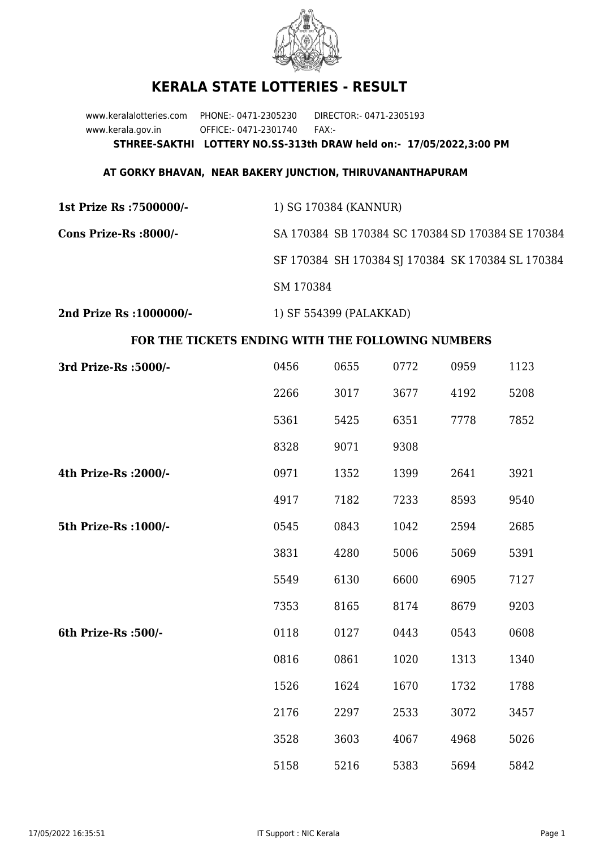

## **KERALA STATE LOTTERIES - RESULT**

www.keralalotteries.com PHONE:- 0471-2305230 DIRECTOR:- 0471-2305193 www.kerala.gov.in OFFICE:- 0471-2301740 FAX:- **STHREE-SAKTHI LOTTERY NO.SS-313th DRAW held on:- 17/05/2022,3:00 PM**

## **AT GORKY BHAVAN, NEAR BAKERY JUNCTION, THIRUVANANTHAPURAM**

| 1st Prize Rs :7500000/- | 1) SG 170384 (KANNUR)                             |  |  |
|-------------------------|---------------------------------------------------|--|--|
| Cons Prize-Rs :8000/-   | SA 170384 SB 170384 SC 170384 SD 170384 SE 170384 |  |  |
|                         | SF 170384 SH 170384 SJ 170384 SK 170384 SL 170384 |  |  |
|                         | SM 170384                                         |  |  |
|                         |                                                   |  |  |

**2nd Prize Rs :1000000/-** 1) SF 554399 (PALAKKAD)

## **FOR THE TICKETS ENDING WITH THE FOLLOWING NUMBERS**

| 3rd Prize-Rs : 5000/- | 0456 | 0655 | 0772 | 0959 | 1123 |
|-----------------------|------|------|------|------|------|
|                       | 2266 | 3017 | 3677 | 4192 | 5208 |
|                       | 5361 | 5425 | 6351 | 7778 | 7852 |
|                       | 8328 | 9071 | 9308 |      |      |
| 4th Prize-Rs : 2000/- | 0971 | 1352 | 1399 | 2641 | 3921 |
|                       | 4917 | 7182 | 7233 | 8593 | 9540 |
| 5th Prize-Rs : 1000/- | 0545 | 0843 | 1042 | 2594 | 2685 |
|                       | 3831 | 4280 | 5006 | 5069 | 5391 |
|                       | 5549 | 6130 | 6600 | 6905 | 7127 |
|                       | 7353 | 8165 | 8174 | 8679 | 9203 |
| 6th Prize-Rs :500/-   | 0118 | 0127 | 0443 | 0543 | 0608 |
|                       | 0816 | 0861 | 1020 | 1313 | 1340 |
|                       | 1526 | 1624 | 1670 | 1732 | 1788 |
|                       | 2176 | 2297 | 2533 | 3072 | 3457 |
|                       | 3528 | 3603 | 4067 | 4968 | 5026 |
|                       | 5158 | 5216 | 5383 | 5694 | 5842 |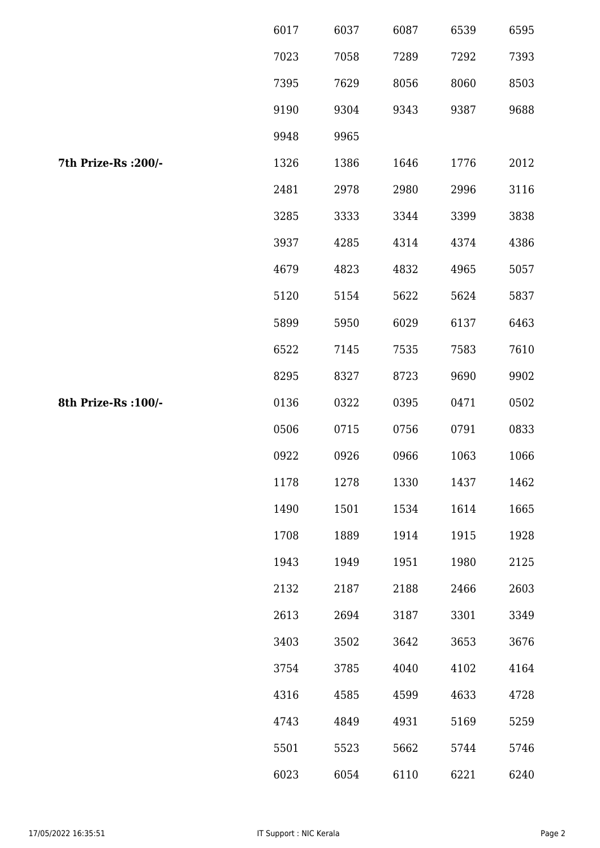|                      | 6017 | 6037 | 6087 | 6539 | 6595 |
|----------------------|------|------|------|------|------|
|                      | 7023 | 7058 | 7289 | 7292 | 7393 |
|                      | 7395 | 7629 | 8056 | 8060 | 8503 |
|                      | 9190 | 9304 | 9343 | 9387 | 9688 |
|                      | 9948 | 9965 |      |      |      |
| 7th Prize-Rs : 200/- | 1326 | 1386 | 1646 | 1776 | 2012 |
|                      | 2481 | 2978 | 2980 | 2996 | 3116 |
|                      | 3285 | 3333 | 3344 | 3399 | 3838 |
|                      | 3937 | 4285 | 4314 | 4374 | 4386 |
|                      | 4679 | 4823 | 4832 | 4965 | 5057 |
|                      | 5120 | 5154 | 5622 | 5624 | 5837 |
|                      | 5899 | 5950 | 6029 | 6137 | 6463 |
|                      | 6522 | 7145 | 7535 | 7583 | 7610 |
|                      | 8295 | 8327 | 8723 | 9690 | 9902 |
| 8th Prize-Rs : 100/- | 0136 | 0322 | 0395 | 0471 | 0502 |
|                      | 0506 | 0715 | 0756 | 0791 | 0833 |
|                      | 0922 | 0926 | 0966 | 1063 | 1066 |
|                      | 1178 | 1278 | 1330 | 1437 | 1462 |
|                      | 1490 | 1501 | 1534 | 1614 | 1665 |
|                      | 1708 | 1889 | 1914 | 1915 | 1928 |
|                      | 1943 | 1949 | 1951 | 1980 | 2125 |
|                      | 2132 | 2187 | 2188 | 2466 | 2603 |
|                      | 2613 | 2694 | 3187 | 3301 | 3349 |
|                      | 3403 | 3502 | 3642 | 3653 | 3676 |
|                      | 3754 | 3785 | 4040 | 4102 | 4164 |
|                      | 4316 | 4585 | 4599 | 4633 | 4728 |
|                      | 4743 | 4849 | 4931 | 5169 | 5259 |
|                      | 5501 | 5523 | 5662 | 5744 | 5746 |
|                      | 6023 | 6054 | 6110 | 6221 | 6240 |